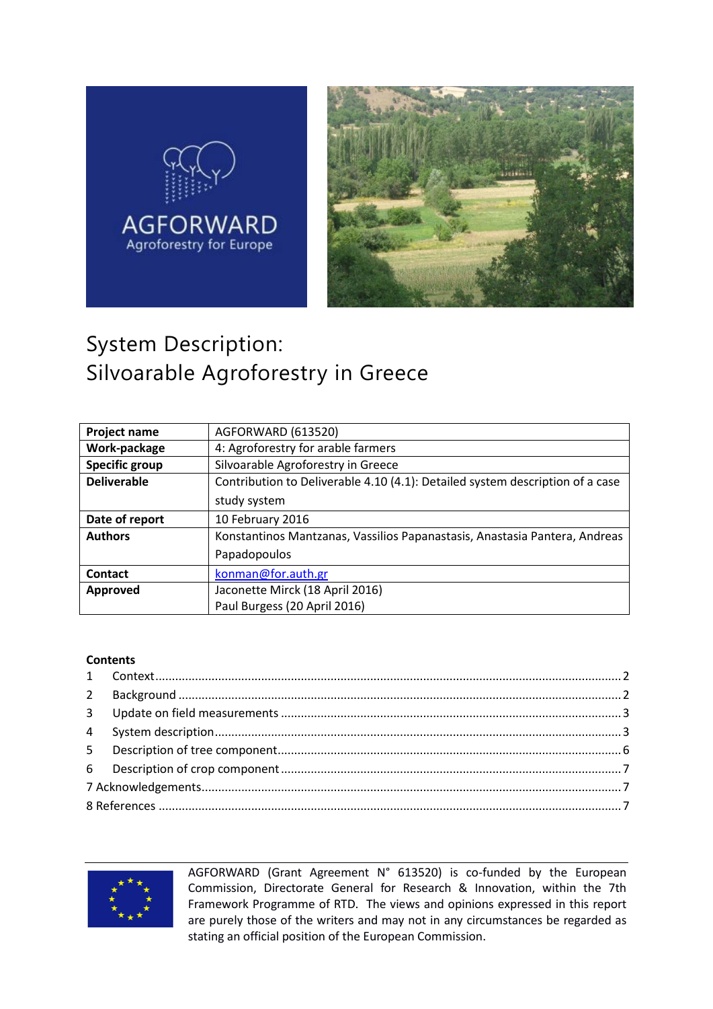



# System Description: Silvoarable Agroforestry in Greece

| Project name       | AGFORWARD (613520)                                                            |  |
|--------------------|-------------------------------------------------------------------------------|--|
| Work-package       | 4: Agroforestry for arable farmers                                            |  |
| Specific group     | Silvoarable Agroforestry in Greece                                            |  |
| <b>Deliverable</b> | Contribution to Deliverable 4.10 (4.1): Detailed system description of a case |  |
|                    | study system                                                                  |  |
| Date of report     | 10 February 2016                                                              |  |
| <b>Authors</b>     | Konstantinos Mantzanas, Vassilios Papanastasis, Anastasia Pantera, Andreas    |  |
|                    | Papadopoulos                                                                  |  |
| <b>Contact</b>     | konman@for.auth.gr                                                            |  |
| Approved           | Jaconette Mirck (18 April 2016)                                               |  |
|                    | Paul Burgess (20 April 2016)                                                  |  |

#### **Contents**



AGFORWARD (Grant Agreement N° 613520) is co-funded by the European Commission, Directorate General for Research & Innovation, within the 7th Framework Programme of RTD. The views and opinions expressed in this report are purely those of the writers and may not in any circumstances be regarded as stating an official position of the European Commission.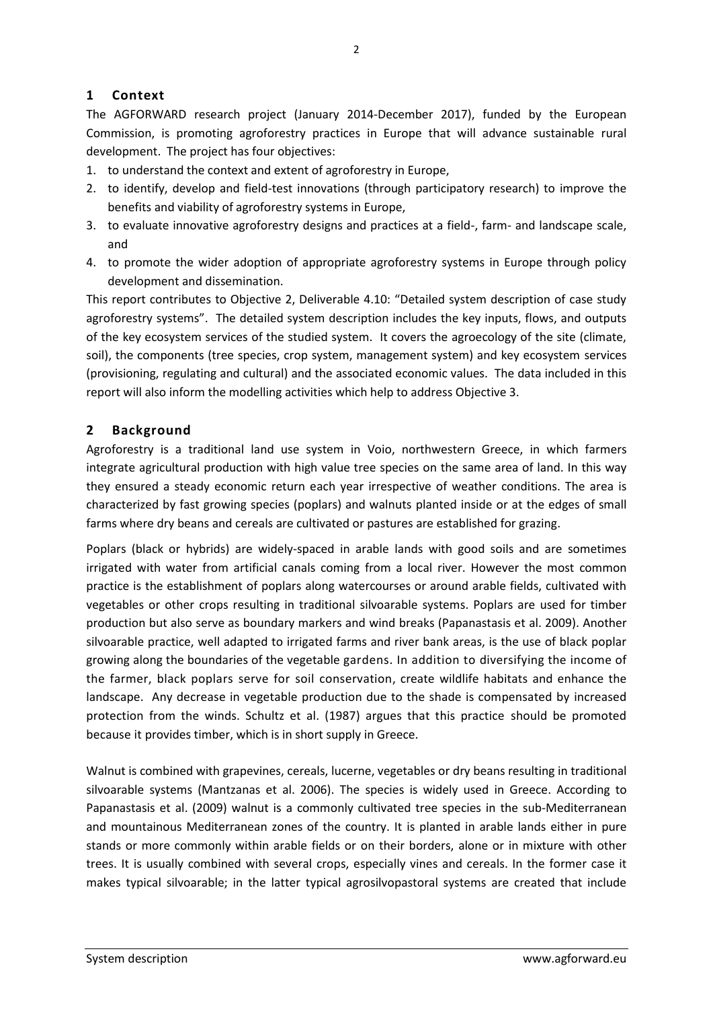#### <span id="page-1-0"></span>**1 Context**

The AGFORWARD research project (January 2014-December 2017), funded by the European Commission, is promoting agroforestry practices in Europe that will advance sustainable rural development. The project has four objectives:

- 1. to understand the context and extent of agroforestry in Europe,
- 2. to identify, develop and field-test innovations (through participatory research) to improve the benefits and viability of agroforestry systems in Europe,
- 3. to evaluate innovative agroforestry designs and practices at a field-, farm- and landscape scale, and
- 4. to promote the wider adoption of appropriate agroforestry systems in Europe through policy development and dissemination.

This report contributes to Objective 2, Deliverable 4.10: "Detailed system description of case study agroforestry systems". The detailed system description includes the key inputs, flows, and outputs of the key ecosystem services of the studied system. It covers the agroecology of the site (climate, soil), the components (tree species, crop system, management system) and key ecosystem services (provisioning, regulating and cultural) and the associated economic values. The data included in this report will also inform the modelling activities which help to address Objective 3.

#### <span id="page-1-1"></span>**2 Background**

Agroforestry is a traditional land use system in Voio, northwestern Greece, in which farmers integrate agricultural production with high value tree species on the same area of land. In this way they ensured a steady economic return each year irrespective of weather conditions. The area is characterized by fast growing species (poplars) and walnuts planted inside or at the edges of small farms where dry beans and cereals are cultivated or pastures are established for grazing.

Poplars (black or hybrids) are widely-spaced in arable lands with good soils and are sometimes irrigated with water from artificial canals coming from a local river. However the most common practice is the establishment of poplars along watercourses or around arable fields, cultivated with vegetables or other crops resulting in traditional silvoarable systems. Poplars are used for timber production but also serve as boundary markers and wind breaks (Papanastasis et al. 2009). Another silvoarable practice, well adapted to irrigated farms and river bank areas, is the use of black poplar growing along the boundaries of the vegetable gardens. In addition to diversifying the income of the farmer, black poplars serve for soil conservation, create wildlife habitats and enhance the landscape. Any decrease in vegetable production due to the shade is compensated by increased protection from the winds. Schultz et al. (1987) argues that this practice should be promoted because it provides timber, which is in short supply in Greece.

Walnut is combined with grapevines, cereals, lucerne, vegetables or dry beans resulting in traditional silvoarable systems (Mantzanas et al. 2006). The species is widely used in Greece. According to Papanastasis et al. (2009) walnut is a commonly cultivated tree species in the sub-Mediterranean and mountainous Mediterranean zones of the country. It is planted in arable lands either in pure stands or more commonly within arable fields or on their borders, alone or in mixture with other trees. It is usually combined with several crops, especially vines and cereals. In the former case it makes typical silvoarable; in the latter typical agrosilvopastoral systems are created that include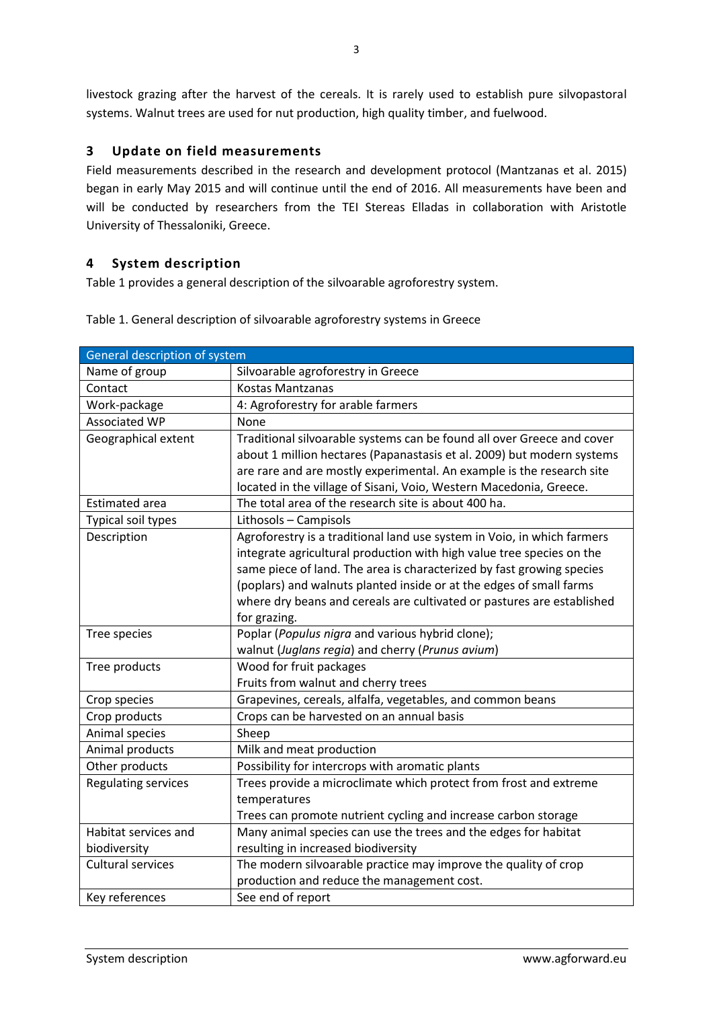livestock grazing after the harvest of the cereals. It is rarely used to establish pure silvopastoral systems. Walnut trees are used for nut production, high quality timber, and fuelwood.

#### <span id="page-2-0"></span>**3 Update on field measurements**

Field measurements described in the research and development protocol (Mantzanas et al. 2015) began in early May 2015 and will continue until the end of 2016. All measurements have been and will be conducted by researchers from the TEI Stereas Elladas in collaboration with Aristotle University of Thessaloniki, Greece.

#### <span id="page-2-1"></span>**4 System description**

[Table 1](#page-2-2) provides a general description of the silvoarable agroforestry system.

| General description of system |                                                                         |  |
|-------------------------------|-------------------------------------------------------------------------|--|
| Name of group                 | Silvoarable agroforestry in Greece                                      |  |
| Contact                       | Kostas Mantzanas                                                        |  |
| Work-package                  | 4: Agroforestry for arable farmers                                      |  |
| <b>Associated WP</b>          | None                                                                    |  |
| Geographical extent           | Traditional silvoarable systems can be found all over Greece and cover  |  |
|                               | about 1 million hectares (Papanastasis et al. 2009) but modern systems  |  |
|                               | are rare and are mostly experimental. An example is the research site   |  |
|                               | located in the village of Sisani, Voio, Western Macedonia, Greece.      |  |
| <b>Estimated area</b>         | The total area of the research site is about 400 ha.                    |  |
| Typical soil types            | Lithosols - Campisols                                                   |  |
| Description                   | Agroforestry is a traditional land use system in Voio, in which farmers |  |
|                               | integrate agricultural production with high value tree species on the   |  |
|                               | same piece of land. The area is characterized by fast growing species   |  |
|                               | (poplars) and walnuts planted inside or at the edges of small farms     |  |
|                               | where dry beans and cereals are cultivated or pastures are established  |  |
|                               | for grazing.                                                            |  |
| Tree species                  | Poplar (Populus nigra and various hybrid clone);                        |  |
|                               | walnut (Juglans regia) and cherry (Prunus avium)                        |  |
| Tree products                 | Wood for fruit packages                                                 |  |
|                               | Fruits from walnut and cherry trees                                     |  |
| Crop species                  | Grapevines, cereals, alfalfa, vegetables, and common beans              |  |
| Crop products                 | Crops can be harvested on an annual basis                               |  |
| Animal species                | Sheep                                                                   |  |
| Animal products               | Milk and meat production                                                |  |
| Other products                | Possibility for intercrops with aromatic plants                         |  |
| <b>Regulating services</b>    | Trees provide a microclimate which protect from frost and extreme       |  |
|                               | temperatures                                                            |  |
|                               | Trees can promote nutrient cycling and increase carbon storage          |  |
| Habitat services and          | Many animal species can use the trees and the edges for habitat         |  |
| biodiversity                  | resulting in increased biodiversity                                     |  |
| <b>Cultural services</b>      | The modern silvoarable practice may improve the quality of crop         |  |
|                               | production and reduce the management cost.                              |  |
| Key references                | See end of report                                                       |  |

<span id="page-2-2"></span>Table 1. General description of silvoarable agroforestry systems in Greece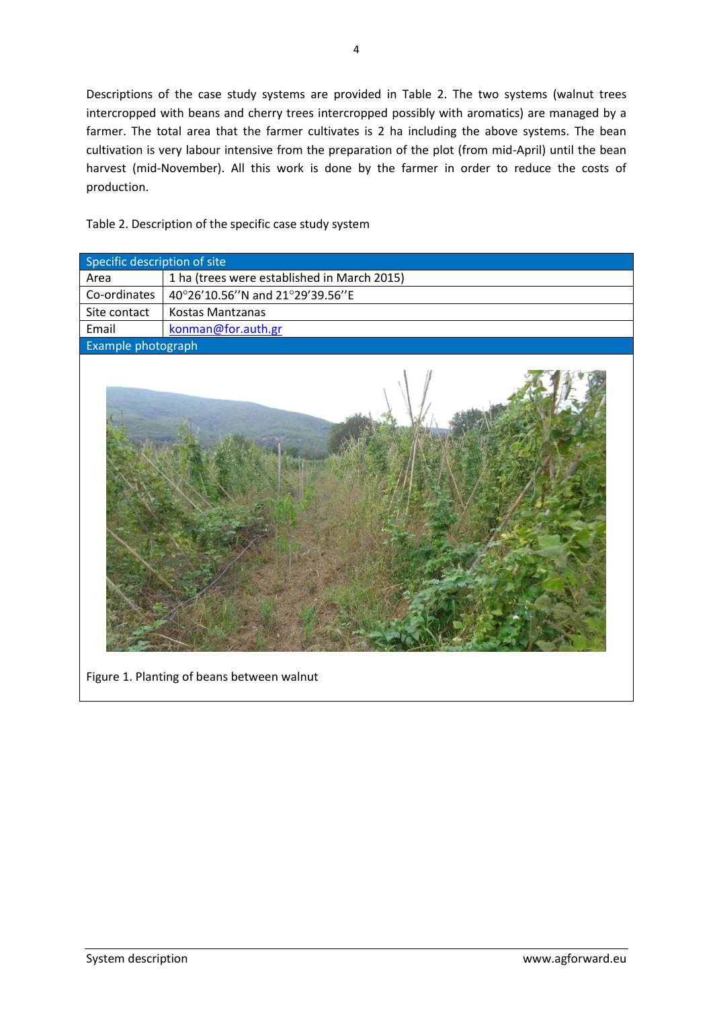Descriptions of the case study systems are provided in Table 2. The two systems (walnut trees intercropped with beans and cherry trees intercropped possibly with aromatics) are managed by a farmer. The total area that the farmer cultivates is 2 ha including the above systems. The bean cultivation is very labour intensive from the preparation of the plot (from mid-April) until the bean harvest (mid-November). All this work is done by the farmer in order to reduce the costs of production.

Table 2. Description of the specific case study system

| Specific description of site |                                             |  |
|------------------------------|---------------------------------------------|--|
| Area                         | 1 ha (trees were established in March 2015) |  |
| Co-ordinates                 | 40°26'10.56"N and 21°29'39.56"E             |  |
| Site contact                 | Kostas Mantzanas                            |  |
| Email                        | konman@for.auth.gr                          |  |
| Example photograph           |                                             |  |
|                              |                                             |  |

Figure 1. Planting of beans between walnut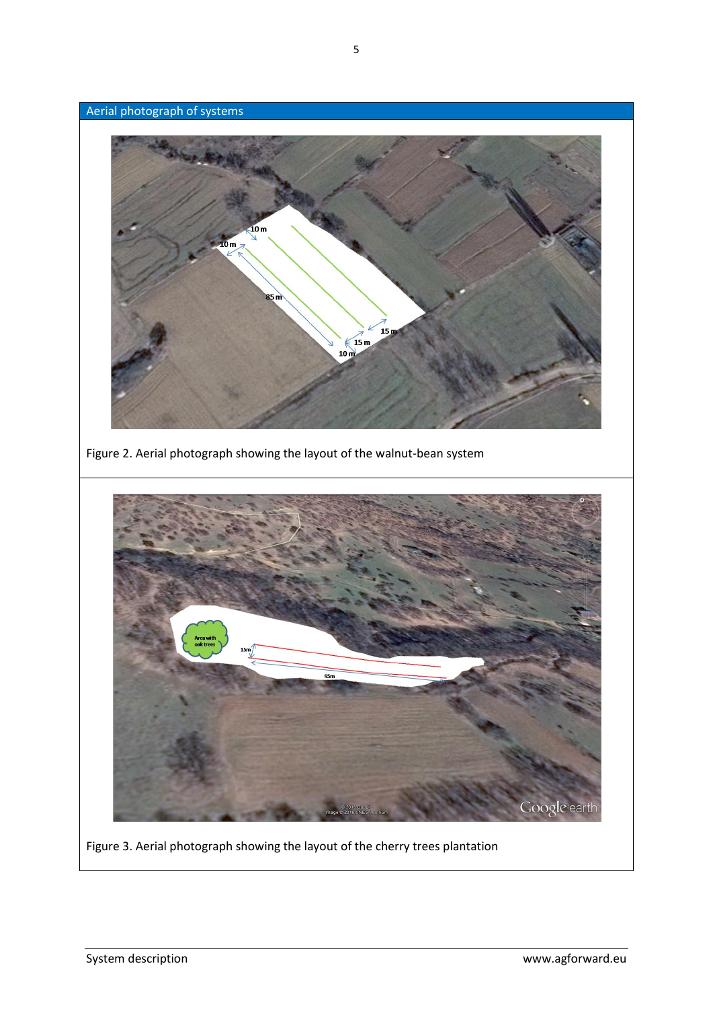

Figure 3. Aerial photograph showing the layout of the cherry trees plantation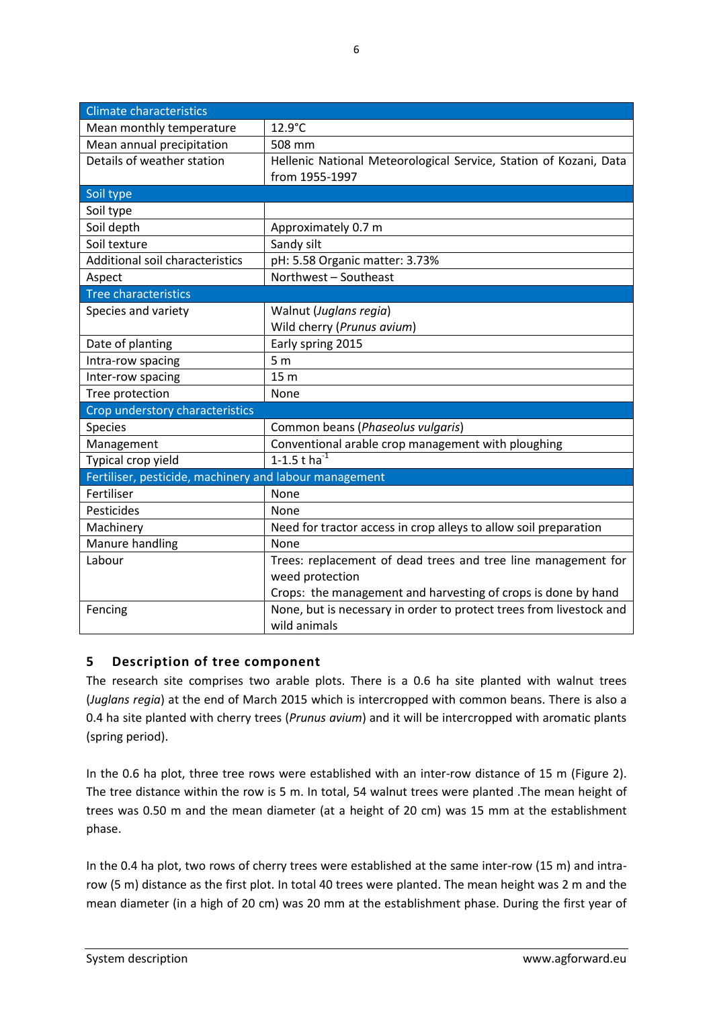| <b>Climate characteristics</b>                         |                                                                     |  |  |  |
|--------------------------------------------------------|---------------------------------------------------------------------|--|--|--|
| Mean monthly temperature                               | 12.9°C                                                              |  |  |  |
| Mean annual precipitation                              | 508 mm                                                              |  |  |  |
| Details of weather station                             | Hellenic National Meteorological Service, Station of Kozani, Data   |  |  |  |
|                                                        | from 1955-1997                                                      |  |  |  |
| Soil type                                              |                                                                     |  |  |  |
| Soil type                                              |                                                                     |  |  |  |
| Soil depth                                             | Approximately 0.7 m                                                 |  |  |  |
| Soil texture                                           | Sandy silt                                                          |  |  |  |
| Additional soil characteristics                        | pH: 5.58 Organic matter: 3.73%                                      |  |  |  |
| Aspect                                                 | Northwest - Southeast                                               |  |  |  |
| <b>Tree characteristics</b>                            |                                                                     |  |  |  |
| Species and variety                                    | Walnut (Juglans regia)                                              |  |  |  |
|                                                        | Wild cherry (Prunus avium)                                          |  |  |  |
| Date of planting                                       | Early spring 2015                                                   |  |  |  |
| Intra-row spacing                                      | 5 <sub>m</sub>                                                      |  |  |  |
| Inter-row spacing                                      | 15 <sub>m</sub>                                                     |  |  |  |
| Tree protection                                        | None                                                                |  |  |  |
| Crop understory characteristics                        |                                                                     |  |  |  |
| <b>Species</b>                                         | Common beans (Phaseolus vulgaris)                                   |  |  |  |
| Management                                             | Conventional arable crop management with ploughing                  |  |  |  |
| Typical crop yield                                     | 1-1.5 t ha $^{-1}$                                                  |  |  |  |
| Fertiliser, pesticide, machinery and labour management |                                                                     |  |  |  |
| Fertiliser                                             | None                                                                |  |  |  |
| Pesticides                                             | None                                                                |  |  |  |
| Machinery                                              | Need for tractor access in crop alleys to allow soil preparation    |  |  |  |
| Manure handling                                        | None                                                                |  |  |  |
| Labour                                                 | Trees: replacement of dead trees and tree line management for       |  |  |  |
|                                                        | weed protection                                                     |  |  |  |
|                                                        | Crops: the management and harvesting of crops is done by hand       |  |  |  |
| Fencing                                                | None, but is necessary in order to protect trees from livestock and |  |  |  |
|                                                        | wild animals                                                        |  |  |  |

#### <span id="page-5-0"></span>**5 Description of tree component**

The research site comprises two arable plots. There is a 0.6 ha site planted with walnut trees (*Juglans regia*) at the end of March 2015 which is intercropped with common beans. There is also a 0.4 ha site planted with cherry trees (*Prunus avium*) and it will be intercropped with aromatic plants (spring period).

In the 0.6 ha plot, three tree rows were established with an inter-row distance of 15 m (Figure 2). The tree distance within the row is 5 m. In total, 54 walnut trees were planted .The mean height of trees was 0.50 m and the mean diameter (at a height of 20 cm) was 15 mm at the establishment phase.

In the 0.4 ha plot, two rows of cherry trees were established at the same inter-row (15 m) and intrarow (5 m) distance as the first plot. In total 40 trees were planted. The mean height was 2 m and the mean diameter (in a high of 20 cm) was 20 mm at the establishment phase. During the first year of